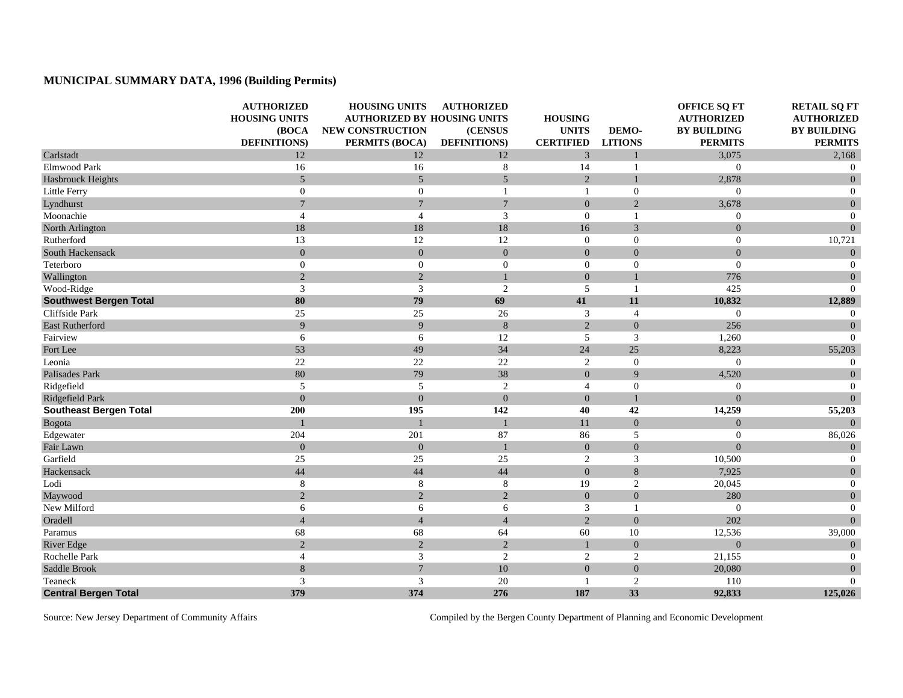## **MUNICIPAL SUMMARY DATA, 1996 (Building Permits)**

|                               | <b>AUTHORIZED</b><br><b>HOUSING UNITS</b><br>(BOCA<br><b>DEFINITIONS</b> ) | <b>HOUSING UNITS</b><br><b>AUTHORIZED BY HOUSING UNITS</b><br>NEW CONSTRUCTION<br>PERMITS (BOCA) | <b>AUTHORIZED</b><br>(CENSUS<br><b>DEFINITIONS</b> ) | <b>HOUSING</b><br><b>UNITS</b><br><b>CERTIFIED</b> | DEMO-<br><b>LITIONS</b> | <b>OFFICE SQ FT</b><br><b>AUTHORIZED</b><br><b>BY BUILDING</b><br><b>PERMITS</b> | <b>RETAIL SQ FT</b><br><b>AUTHORIZED</b><br><b>BY BUILDING</b><br><b>PERMITS</b> |
|-------------------------------|----------------------------------------------------------------------------|--------------------------------------------------------------------------------------------------|------------------------------------------------------|----------------------------------------------------|-------------------------|----------------------------------------------------------------------------------|----------------------------------------------------------------------------------|
| Carlstadt                     | 12                                                                         | 12                                                                                               | 12                                                   | $\overline{3}$                                     | $\mathbf{1}$            | 3,075                                                                            | 2,168                                                                            |
| Elmwood Park                  | 16                                                                         | 16                                                                                               | 8                                                    | 14                                                 | $\mathbf{1}$            | $\overline{0}$                                                                   | $\theta$                                                                         |
| <b>Hasbrouck Heights</b>      | 5                                                                          | 5                                                                                                | 5                                                    | $\overline{2}$                                     | $\mathbf{1}$            | 2,878                                                                            | $\overline{0}$                                                                   |
| Little Ferry                  | $\overline{0}$                                                             | $\mathbf{0}$                                                                                     | 1                                                    | $\blacksquare$                                     | $\overline{0}$          | $\mathbf{0}$                                                                     | $\overline{0}$                                                                   |
| Lyndhurst                     | $7\overline{ }$                                                            | $\overline{7}$                                                                                   | $\boldsymbol{7}$                                     | $\overline{0}$                                     | $\sqrt{2}$              | 3,678                                                                            | $\boldsymbol{0}$                                                                 |
| Moonachie                     | $\overline{4}$                                                             | $\overline{4}$                                                                                   | 3                                                    | $\Omega$                                           | $\mathbf{1}$            | $\overline{0}$                                                                   | $\boldsymbol{0}$                                                                 |
| North Arlington               | 18                                                                         | 18                                                                                               | 18                                                   | 16                                                 | 3                       | $\overline{0}$                                                                   | $\mathbf{0}$                                                                     |
| Rutherford                    | 13                                                                         | 12                                                                                               | 12                                                   | $\overline{0}$                                     | $\boldsymbol{0}$        | $\boldsymbol{0}$                                                                 | 10,721                                                                           |
| South Hackensack              | $\Omega$                                                                   | $\mathbf{0}$                                                                                     | $\overline{0}$                                       | $\Omega$                                           | $\mathbf{0}$            | $\overline{0}$                                                                   | $\overline{0}$                                                                   |
| Teterboro                     | $\boldsymbol{0}$                                                           | $\boldsymbol{0}$                                                                                 | $\boldsymbol{0}$                                     | $\boldsymbol{0}$                                   | $\boldsymbol{0}$        | $\overline{0}$                                                                   | $\overline{0}$                                                                   |
| Wallington                    | 2                                                                          | $\sqrt{2}$                                                                                       | $\mathbf{1}$                                         | $\overline{0}$                                     | $\mathbf{1}$            | 776                                                                              | $\mathbf{0}$                                                                     |
| Wood-Ridge                    | 3                                                                          | $\overline{3}$                                                                                   | $\overline{2}$                                       | 5                                                  | $\mathbf{1}$            | 425                                                                              | $\Omega$                                                                         |
| <b>Southwest Bergen Total</b> | 80                                                                         | 79                                                                                               | 69                                                   | 41                                                 | 11                      | 10,832                                                                           | 12,889                                                                           |
| Cliffside Park                | 25                                                                         | 25                                                                                               | 26                                                   | 3                                                  | $\overline{4}$          | $\theta$                                                                         | $\overline{0}$                                                                   |
| <b>East Rutherford</b>        | 9                                                                          | 9                                                                                                | 8                                                    | $\overline{2}$                                     | $\mathbf{0}$            | 256                                                                              | $\overline{0}$                                                                   |
| Fairview                      | 6                                                                          | 6                                                                                                | 12                                                   | 5                                                  | $\mathfrak{Z}$          | 1,260                                                                            | $\overline{0}$                                                                   |
| Fort Lee                      | 53                                                                         | 49                                                                                               | 34                                                   | 24                                                 | 25                      | 8,223                                                                            | 55,203                                                                           |
| Leonia                        | 22                                                                         | 22                                                                                               | 22                                                   | 2                                                  | $\mathbf{0}$            | $\overline{0}$                                                                   | $\boldsymbol{0}$                                                                 |
| Palisades Park                | 80                                                                         | 79                                                                                               | 38                                                   | $\overline{0}$                                     | $\overline{9}$          | 4,520                                                                            | $\boldsymbol{0}$                                                                 |
| Ridgefield                    | 5                                                                          | 5                                                                                                | 2                                                    | $\overline{4}$                                     | $\mathbf{0}$            | $\mathbf{0}$                                                                     | $\theta$                                                                         |
| Ridgefield Park               | $\overline{0}$                                                             | $\overline{0}$                                                                                   | $\mathbf{0}$                                         | $\overline{0}$                                     | $\mathbf{1}$            | $\theta$                                                                         | $\overline{0}$                                                                   |
| <b>Southeast Bergen Total</b> | 200                                                                        | 195                                                                                              | 142                                                  | 40                                                 | 42                      | 14,259                                                                           | 55,203                                                                           |
| Bogota                        |                                                                            |                                                                                                  |                                                      | 11                                                 | $\mathbf{0}$            | $\theta$                                                                         | $\Omega$                                                                         |
| Edgewater                     | 204                                                                        | 201                                                                                              | 87                                                   | 86                                                 | 5                       | $\overline{0}$                                                                   | 86,026                                                                           |
| Fair Lawn                     | $\overline{0}$                                                             | $\mathbf{0}$                                                                                     | $\mathbf{1}$                                         | $\overline{0}$                                     | $\mathbf{0}$            | $\overline{0}$                                                                   | $\mathbf{0}$                                                                     |
| Garfield                      | 25                                                                         | 25                                                                                               | 25                                                   | $\sqrt{2}$                                         | $\mathfrak{Z}$          | 10,500                                                                           | $\overline{0}$                                                                   |
| Hackensack                    | 44                                                                         | 44                                                                                               | 44                                                   | $\overline{0}$                                     | 8                       | 7,925                                                                            | $\boldsymbol{0}$                                                                 |
| Lodi                          | 8                                                                          | 8                                                                                                | 8                                                    | 19                                                 | $\overline{c}$          | 20,045                                                                           | $\boldsymbol{0}$                                                                 |
| Maywood                       | 2                                                                          | $\sqrt{2}$                                                                                       | $\sqrt{2}$                                           | $\mathbf{0}$                                       | $\mathbf{0}$            | 280                                                                              | $\boldsymbol{0}$                                                                 |
| New Milford                   | 6                                                                          | 6                                                                                                | 6                                                    | 3                                                  | $\mathbf{1}$            | $\overline{0}$                                                                   | $\mathbf{0}$                                                                     |
| Oradell                       | $\overline{4}$                                                             | $\overline{4}$                                                                                   | $\overline{4}$                                       | $\overline{2}$                                     | $\mathbf{0}$            | 202                                                                              | $\overline{0}$                                                                   |
| Paramus                       | 68                                                                         | 68                                                                                               | 64                                                   | 60                                                 | $10\,$                  | 12,536                                                                           | 39,000                                                                           |
| <b>River Edge</b>             | $\overline{2}$                                                             | $\sqrt{2}$                                                                                       | $\sqrt{2}$                                           |                                                    | $\mathbf{0}$            | $\overline{0}$                                                                   | $\mathbf{0}$                                                                     |
| Rochelle Park                 | $\overline{4}$                                                             | $\mathfrak{Z}$                                                                                   | $\mathfrak{2}$                                       | 2                                                  | $\mathbf{2}$            | 21,155                                                                           | $\boldsymbol{0}$                                                                 |
| Saddle Brook                  | 8                                                                          | $\overline{7}$                                                                                   | 10                                                   | $\overline{0}$                                     | $\mathbf{0}$            | 20,080                                                                           | $\boldsymbol{0}$                                                                 |
| Teaneck                       | 3                                                                          | $\overline{3}$                                                                                   | 20                                                   | -1                                                 | $\overline{c}$          | 110                                                                              | $\overline{0}$                                                                   |
| <b>Central Bergen Total</b>   | 379                                                                        | 374                                                                                              | 276                                                  | 187                                                | 33                      | 92,833                                                                           | 125,026                                                                          |

Source: New Jersey Department of Community Affairs Compiled by the Bergen County Department of Planning and Economic Development